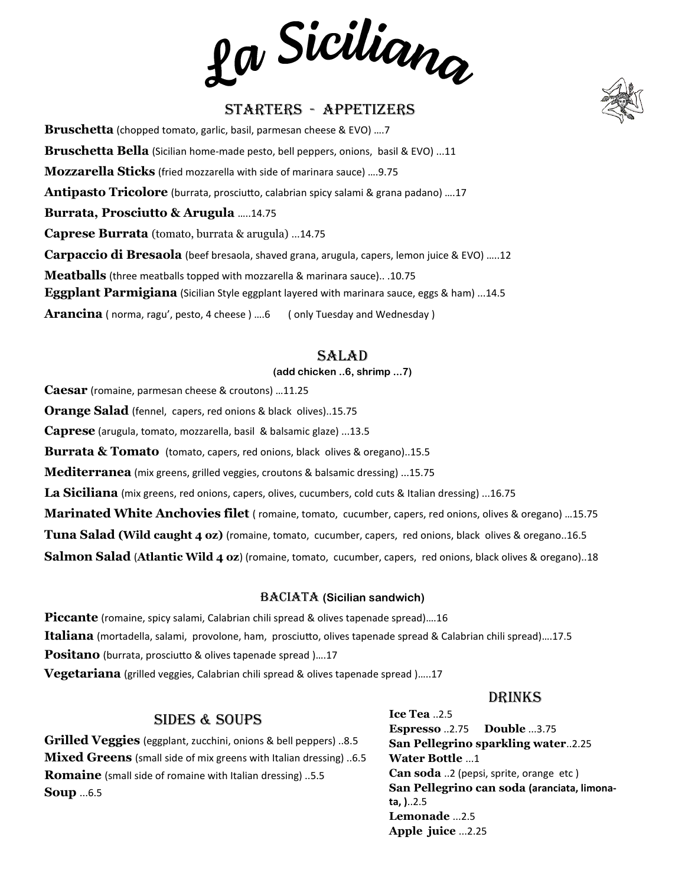La Siciliana

# Starters - Appetizers

**Bruschetta** (chopped tomato, garlic, basil, parmesan cheese & EVO) ….7 **Bruschetta Bella** (Sicilian home-made pesto, bell peppers, onions, basil & EVO) ...11 **Mozzarella Sticks** (fried mozzarella with side of marinara sauce) ….9.75 **Antipasto Tricolore** (burrata, prosciutto, calabrian spicy salami & grana padano) ….17 **Burrata, Prosciutto & Arugula** …..14.75 **Caprese Burrata** (tomato, burrata & arugula) ...14.75 **Carpaccio di Bresaola** (beef bresaola, shaved grana, arugula, capers, lemon juice & EVO) …..12 **Meatballs** (three meatballs topped with mozzarella & marinara sauce).. .10.75 **Eggplant Parmigiana** (Sicilian Style eggplant layered with marinara sauce, eggs & ham) ...14.5 Arancina (norma, ragu', pesto, 4 cheese) ....6 ( only Tuesday and Wednesday )

## Salad

#### **(add chicken ..6, shrimp ...7)**

**Caesar** (romaine, parmesan cheese & croutons) …11.25

**Orange Salad** (fennel, capers, red onions & black olives)..15.75

**Caprese** (arugula, tomato, mozzarella, basil & balsamic glaze) ...13.5

**Burrata & Tomato** (tomato, capers, red onions, black olives & oregano)..15.5

**Mediterranea** (mix greens, grilled veggies, croutons & balsamic dressing) ...15.75

**La Siciliana** (mix greens, red onions, capers, olives, cucumbers, cold cuts & Italian dressing) ...16.75

**Marinated White Anchovies filet** ( romaine, tomato, cucumber, capers, red onions, olives & oregano) …15.75

**Tuna Salad (Wild caught 4 oz)** (romaine, tomato, cucumber, capers, red onions, black olives & oregano..16.5

**Salmon Salad** (**Atlantic Wild 4 oz**) (romaine, tomato, cucumber, capers, red onions, black olives & oregano)..18

#### **BACIATA (Sicilian sandwich)**

**Piccante** (romaine, spicy salami, Calabrian chili spread & olives tapenade spread)….16 **Italiana** (mortadella, salami, provolone, ham, prosciutto, olives tapenade spread & Calabrian chili spread)….17.5 **Positano** (burrata, prosciutto & olives tapenade spread )….17 **Vegetariana** (grilled veggies, Calabrian chili spread & olives tapenade spread )…..17

#### Drinks

## Sides & Soups

**Grilled Veggies** (eggplant, zucchini, onions & bell peppers) ..8.5 **Mixed Greens** (small side of mix greens with Italian dressing) ..6.5 **Romaine** (small side of romaine with Italian dressing) ..5.5 **Soup** ...6.5

**Ice Tea** ..2.5 **Espresso** ..2.75 **Double** ...3.75 **San Pellegrino sparkling water**..2.25 **Water Bottle** ...1 **Can soda** ..2 (pepsi, sprite, orange etc ) **San Pellegrino can soda (aranciata, limonata, )**..2.5 **Lemonade** ...2.5 **Apple juice** ...2.25